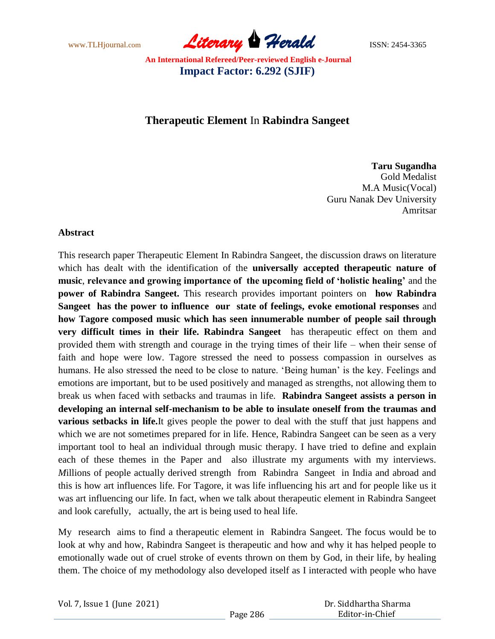www.TLHjournal.com *Literary Herald*ISSN: 2454-3365

# **Therapeutic Element** In **Rabindra Sangeet**

#### **Taru Sugandha**

Gold Medalist M.A Music(Vocal) Guru Nanak Dev University Amritsar

### **Abstract**

This research paper Therapeutic Element In Rabindra Sangeet, the discussion draws on literature which has dealt with the identification of the **universally accepted therapeutic nature of music**, **relevance and growing importance of the upcoming field of 'holistic healing'** and the **power of Rabindra Sangeet.** This research provides important pointers on **how Rabindra Sangeet has the power to influence our state of feelings, evoke emotional responses** and **how Tagore composed music which has seen innumerable number of people sail through very difficult times in their life. Rabindra Sangeet** has therapeutic effect on them and provided them with strength and courage in the trying times of their life – when their sense of faith and hope were low. Tagore stressed the need to possess compassion in ourselves as humans. He also stressed the need to be close to nature. 'Being human' is the key. Feelings and emotions are important, but to be used positively and managed as strengths, not allowing them to break us when faced with setbacks and traumas in life. **Rabindra Sangeet assists a person in developing an internal self-mechanism to be able to insulate oneself from the traumas and various setbacks in life.**It gives people the power to deal with the stuff that just happens and which we are not sometimes prepared for in life. Hence, Rabindra Sangeet can be seen as a very important tool to heal an individual through music therapy. I have tried to define and explain each of these themes in the Paper and also illustrate my arguments with my interviews. *M*illions of people actually derived strength from Rabindra Sangeet in India and abroad and this is how art influences life. For Tagore, it was life influencing his art and for people like us it was art influencing our life. In fact, when we talk about therapeutic element in Rabindra Sangeet and look carefully, actually, the art is being used to heal life.

My research aims to find a therapeutic element in Rabindra Sangeet. The focus would be to look at why and how, Rabindra Sangeet is therapeutic and how and why it has helped people to emotionally wade out of cruel stroke of events thrown on them by God, in their life, by healing them. The choice of my methodology also developed itself as I interacted with people who have

| Vol. 7, Issue 1 (June 2021) |  |
|-----------------------------|--|
|-----------------------------|--|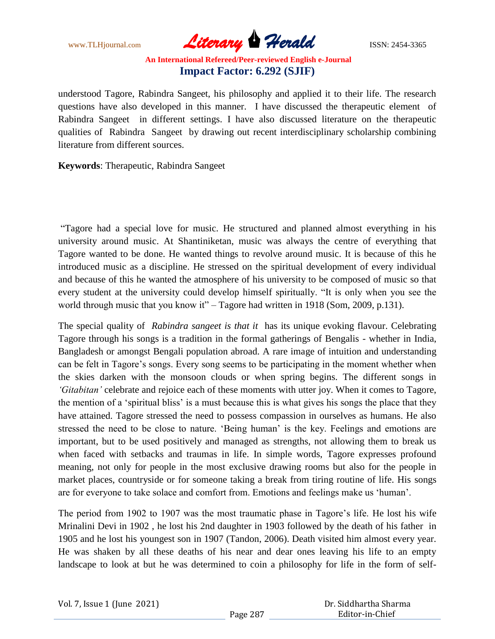www.TLHjournal.com **Literary Herald Herald** ISSN: 2454-3365

understood Tagore, Rabindra Sangeet, his philosophy and applied it to their life. The research questions have also developed in this manner. I have discussed the therapeutic element of Rabindra Sangeet in different settings. I have also discussed literature on the therapeutic qualities of Rabindra Sangeet by drawing out recent interdisciplinary scholarship combining literature from different sources.

**Keywords**: Therapeutic, Rabindra Sangeet

―Tagore had a special love for music. He structured and planned almost everything in his university around music. At Shantiniketan, music was always the centre of everything that Tagore wanted to be done. He wanted things to revolve around music. It is because of this he introduced music as a discipline. He stressed on the spiritual development of every individual and because of this he wanted the atmosphere of his university to be composed of music so that every student at the university could develop himself spiritually. "It is only when you see the world through music that you know it" – Tagore had written in 1918 (Som, 2009, p.131).

The special quality of *Rabindra sangeet is that it* has its unique evoking flavour. Celebrating Tagore through his songs is a tradition in the formal gatherings of Bengalis - whether in India, Bangladesh or amongst Bengali population abroad. A rare image of intuition and understanding can be felt in Tagore's songs. Every song seems to be participating in the moment whether when the skies darken with the monsoon clouds or when spring begins. The different songs in *"Gitabitan"* celebrate and rejoice each of these moments with utter joy. When it comes to Tagore, the mention of a ‗spiritual bliss' is a must because this is what gives his songs the place that they have attained. Tagore stressed the need to possess compassion in ourselves as humans. He also stressed the need to be close to nature. 'Being human' is the key. Feelings and emotions are important, but to be used positively and managed as strengths, not allowing them to break us when faced with setbacks and traumas in life. In simple words, Tagore expresses profound meaning, not only for people in the most exclusive drawing rooms but also for the people in market places, countryside or for someone taking a break from tiring routine of life. His songs are for everyone to take solace and comfort from. Emotions and feelings make us 'human'.

The period from 1902 to 1907 was the most traumatic phase in Tagore's life. He lost his wife Mrinalini Devi in 1902 , he lost his 2nd daughter in 1903 followed by the death of his father in 1905 and he lost his youngest son in 1907 (Tandon, 2006). Death visited him almost every year. He was shaken by all these deaths of his near and dear ones leaving his life to an empty landscape to look at but he was determined to coin a philosophy for life in the form of self-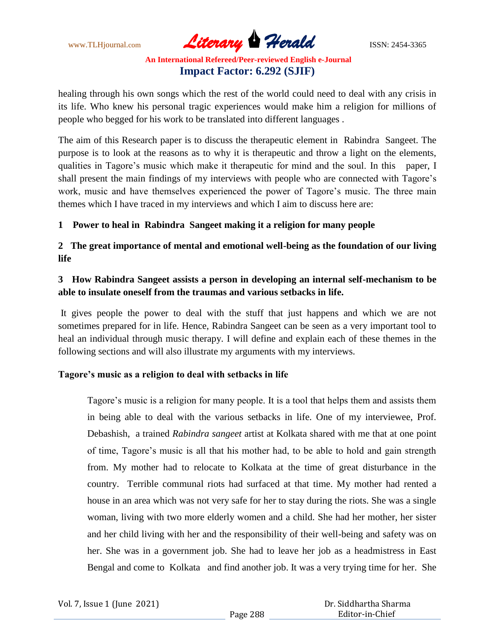www.TLHjournal.com *Literary Herald*ISSN: 2454-3365

healing through his own songs which the rest of the world could need to deal with any crisis in its life. Who knew his personal tragic experiences would make him a religion for millions of people who begged for his work to be translated into different languages .

The aim of this Research paper is to discuss the therapeutic element in Rabindra Sangeet. The purpose is to look at the reasons as to why it is therapeutic and throw a light on the elements, qualities in Tagore's music which make it therapeutic for mind and the soul. In this paper, I shall present the main findings of my interviews with people who are connected with Tagore's work, music and have themselves experienced the power of Tagore's music. The three main themes which I have traced in my interviews and which I aim to discuss here are:

### **1 Power to heal in Rabindra Sangeet making it a religion for many people**

**2 The great importance of mental and emotional well-being as the foundation of our living life** 

# **3 How Rabindra Sangeet assists a person in developing an internal self-mechanism to be able to insulate oneself from the traumas and various setbacks in life.**

It gives people the power to deal with the stuff that just happens and which we are not sometimes prepared for in life. Hence, Rabindra Sangeet can be seen as a very important tool to heal an individual through music therapy. I will define and explain each of these themes in the following sections and will also illustrate my arguments with my interviews.

### **Tagore's music as a religion to deal with setbacks in life**

Tagore's music is a religion for many people. It is a tool that helps them and assists them in being able to deal with the various setbacks in life. One of my interviewee, Prof. Debashish, a trained *Rabindra sangeet* artist at Kolkata shared with me that at one point of time, Tagore's music is all that his mother had, to be able to hold and gain strength from. My mother had to relocate to Kolkata at the time of great disturbance in the country. Terrible communal riots had surfaced at that time. My mother had rented a house in an area which was not very safe for her to stay during the riots. She was a single woman, living with two more elderly women and a child. She had her mother, her sister and her child living with her and the responsibility of their well-being and safety was on her. She was in a government job. She had to leave her job as a headmistress in East Bengal and come to Kolkata and find another job. It was a very trying time for her. She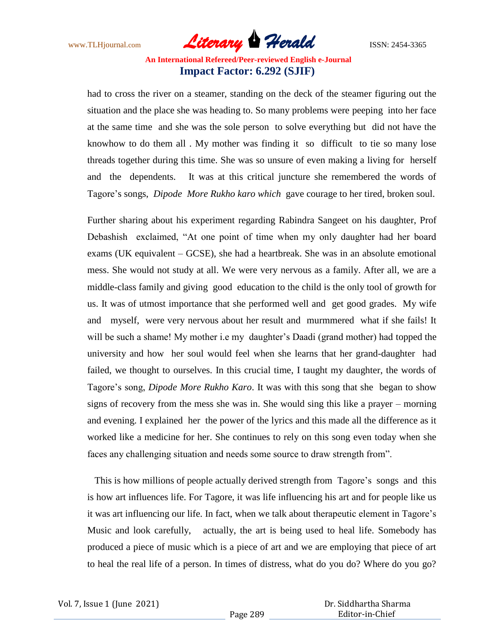www.TLHjournal.com *Literary Herald*ISSN: 2454-3365

had to cross the river on a steamer, standing on the deck of the steamer figuring out the situation and the place she was heading to. So many problems were peeping into her face at the same time and she was the sole person to solve everything but did not have the knowhow to do them all . My mother was finding it so difficult to tie so many lose threads together during this time. She was so unsure of even making a living for herself and the dependents. It was at this critical juncture she remembered the words of Tagore's songs, *Dipode More Rukho karo which* gave courage to her tired, broken soul.

Further sharing about his experiment regarding Rabindra Sangeet on his daughter, Prof Debashish exclaimed, "At one point of time when my only daughter had her board exams (UK equivalent – GCSE), she had a heartbreak. She was in an absolute emotional mess. She would not study at all. We were very nervous as a family. After all, we are a middle-class family and giving good education to the child is the only tool of growth for us. It was of utmost importance that she performed well and get good grades. My wife and myself, were very nervous about her result and murmmered what if she fails! It will be such a shame! My mother i.e my daughter's Daadi (grand mother) had topped the university and how her soul would feel when she learns that her grand-daughter had failed, we thought to ourselves. In this crucial time, I taught my daughter, the words of Tagore's song, *Dipode More Rukho Karo*. It was with this song that she began to show signs of recovery from the mess she was in. She would sing this like a prayer – morning and evening. I explained her the power of the lyrics and this made all the difference as it worked like a medicine for her. She continues to rely on this song even today when she faces any challenging situation and needs some source to draw strength from".

This is how millions of people actually derived strength from Tagore's songs and this is how art influences life. For Tagore, it was life influencing his art and for people like us it was art influencing our life. In fact, when we talk about therapeutic element in Tagore's Music and look carefully, actually, the art is being used to heal life. Somebody has produced a piece of music which is a piece of art and we are employing that piece of art to heal the real life of a person. In times of distress, what do you do? Where do you go?

| Vol. 7, Issue 1 (June 2021) |  |  |
|-----------------------------|--|--|
|-----------------------------|--|--|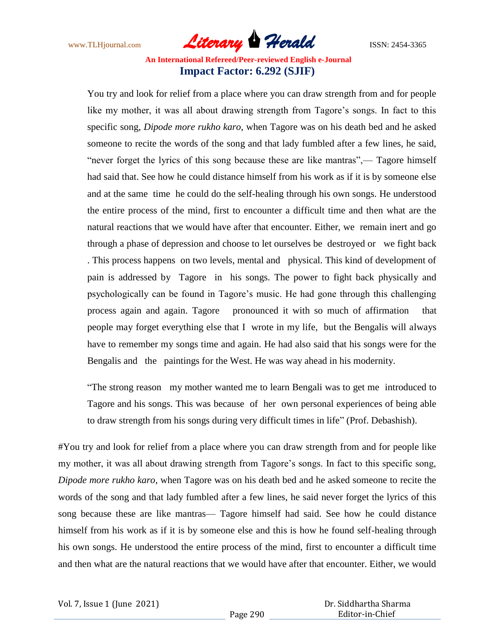www.TLHjournal.com **Literary Herald Herald** ISSN: 2454-3365

You try and look for relief from a place where you can draw strength from and for people like my mother, it was all about drawing strength from Tagore's songs. In fact to this specific song, *Dipode more rukho karo*, when Tagore was on his death bed and he asked someone to recite the words of the song and that lady fumbled after a few lines, he said, "never forget the lyrics of this song because these are like mantras",— Tagore himself had said that. See how he could distance himself from his work as if it is by someone else and at the same time he could do the self-healing through his own songs. He understood the entire process of the mind, first to encounter a difficult time and then what are the natural reactions that we would have after that encounter. Either, we remain inert and go through a phase of depression and choose to let ourselves be destroyed or we fight back . This process happens on two levels, mental and physical. This kind of development of pain is addressed by Tagore in his songs. The power to fight back physically and psychologically can be found in Tagore's music. He had gone through this challenging process again and again. Tagore pronounced it with so much of affirmation that people may forget everything else that I wrote in my life, but the Bengalis will always have to remember my songs time and again. He had also said that his songs were for the Bengalis and the paintings for the West. He was way ahead in his modernity.

"The strong reason my mother wanted me to learn Bengali was to get me introduced to Tagore and his songs. This was because of her own personal experiences of being able to draw strength from his songs during very difficult times in life" (Prof. Debashish).

#You try and look for relief from a place where you can draw strength from and for people like my mother, it was all about drawing strength from Tagore's songs. In fact to this specific song, *Dipode more rukho karo*, when Tagore was on his death bed and he asked someone to recite the words of the song and that lady fumbled after a few lines, he said never forget the lyrics of this song because these are like mantras— Tagore himself had said. See how he could distance himself from his work as if it is by someone else and this is how he found self-healing through his own songs. He understood the entire process of the mind, first to encounter a difficult time and then what are the natural reactions that we would have after that encounter. Either, we would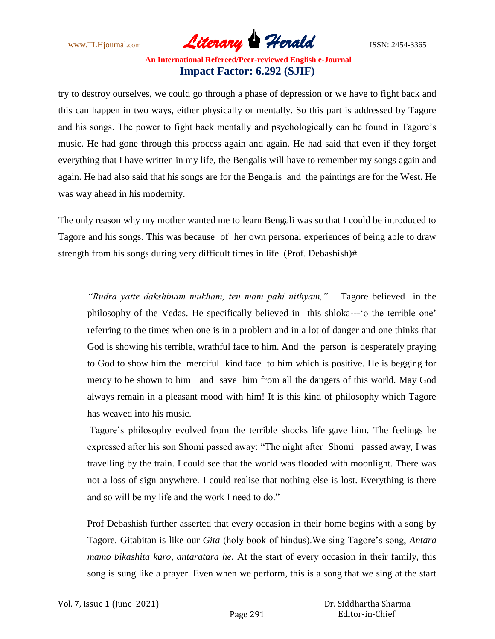www.TLHjournal.com *Literary Herald*ISSN: 2454-3365

try to destroy ourselves, we could go through a phase of depression or we have to fight back and this can happen in two ways, either physically or mentally. So this part is addressed by Tagore and his songs. The power to fight back mentally and psychologically can be found in Tagore's music. He had gone through this process again and again. He had said that even if they forget everything that I have written in my life, the Bengalis will have to remember my songs again and again. He had also said that his songs are for the Bengalis and the paintings are for the West. He was way ahead in his modernity.

The only reason why my mother wanted me to learn Bengali was so that I could be introduced to Tagore and his songs. This was because of her own personal experiences of being able to draw strength from his songs during very difficult times in life. (Prof. Debashish)#

*"Rudra yatte dakshinam mukham, ten mam pahi nithyam,"* – Tagore believed in the philosophy of the Vedas. He specifically believed in this shloka--- 'o the terrible one' referring to the times when one is in a problem and in a lot of danger and one thinks that God is showing his terrible, wrathful face to him. And the person is desperately praying to God to show him the merciful kind face to him which is positive. He is begging for mercy to be shown to him and save him from all the dangers of this world. May God always remain in a pleasant mood with him! It is this kind of philosophy which Tagore has weaved into his music.

Tagore's philosophy evolved from the terrible shocks life gave him. The feelings he expressed after his son Shomi passed away: "The night after Shomi passed away, I was travelling by the train. I could see that the world was flooded with moonlight. There was not a loss of sign anywhere. I could realise that nothing else is lost. Everything is there and so will be my life and the work I need to do."

Prof Debashish further asserted that every occasion in their home begins with a song by Tagore. Gitabitan is like our *Gita* (holy book of hindus).We sing Tagore's song, *Antara mamo bikashita karo, antaratara he.* At the start of every occasion in their family, this song is sung like a prayer. Even when we perform, this is a song that we sing at the start

|  |  |  |  | Vol. 7, Issue 1 (June 2021) |
|--|--|--|--|-----------------------------|
|--|--|--|--|-----------------------------|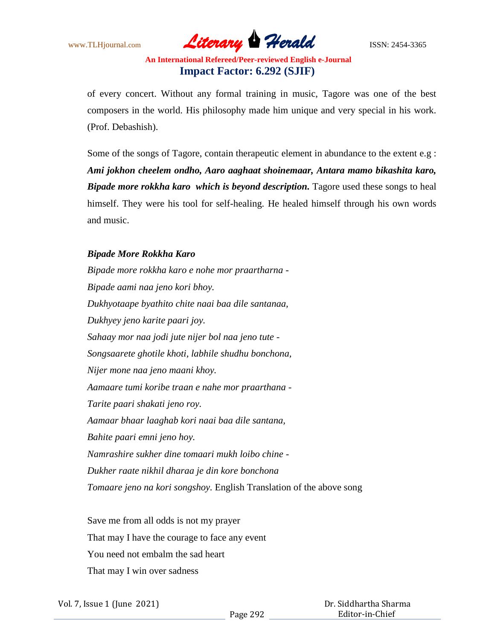www.TLHjournal.com *Literary Herald*ISSN: 2454-3365

of every concert. Without any formal training in music, Tagore was one of the best composers in the world. His philosophy made him unique and very special in his work. (Prof. Debashish).

Some of the songs of Tagore, contain therapeutic element in abundance to the extent e.g : *Ami jokhon cheelem ondho, Aaro aaghaat shoinemaar, Antara mamo bikashita karo, Bipade more rokkha karo which is beyond description.* Tagore used these songs to heal himself. They were his tool for self-healing. He healed himself through his own words and music.

### *Bipade More Rokkha Karo*

*Bipade more rokkha karo e nohe mor praartharna - Bipade aami naa jeno kori bhoy. Dukhyotaape byathito chite naai baa dile santanaa, Dukhyey jeno karite paari joy. Sahaay mor naa jodi jute nijer bol naa jeno tute - Songsaarete ghotile khoti, labhile shudhu bonchona, Nijer mone naa jeno maani khoy. Aamaare tumi koribe traan e nahe mor praarthana - Tarite paari shakati jeno roy. Aamaar bhaar laaghab kori naai baa dile santana, Bahite paari emni jeno hoy. Namrashire sukher dine tomaari mukh loibo chine - Dukher raate nikhil dharaa je din kore bonchona Tomaare jeno na kori songshoy.* English Translation of the above song

Save me from all odds is not my prayer That may I have the courage to face any event You need not embalm the sad heart That may I win over sadness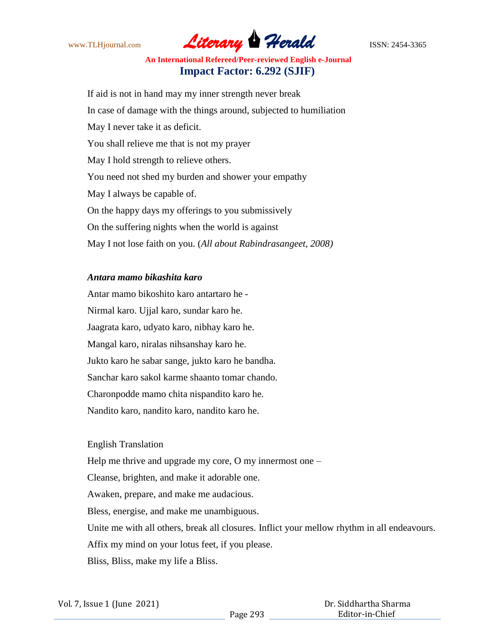

If aid is not in hand may my inner strength never break In case of damage with the things around, subjected to humiliation May I never take it as deficit. You shall relieve me that is not my prayer May I hold strength to relieve others. You need not shed my burden and shower your empathy May I always be capable of. On the happy days my offerings to you submissively On the suffering nights when the world is against May I not lose faith on you. (*All about Rabindrasangeet, 2008)*

#### *Antara mamo bikashita karo*

Antar mamo bikoshito karo antartaro he - Nirmal karo. Ujjal karo, sundar karo he. Jaagrata karo, udyato karo, nibhay karo he. Mangal karo, niralas nihsanshay karo he. Jukto karo he sabar sange, jukto karo he bandha. Sanchar karo sakol karme shaanto tomar chando. Charonpodde mamo chita nispandito karo he. Nandito karo, nandito karo, nandito karo he.

### English Translation

Help me thrive and upgrade my core, O my innermost one –

Cleanse, brighten, and make it adorable one.

Awaken, prepare, and make me audacious.

Bless, energise, and make me unambiguous.

Unite me with all others, break all closures. Inflict your mellow rhythm in all endeavours.

Affix my mind on your lotus feet, if you please.

Bliss, Bliss, make my life a Bliss.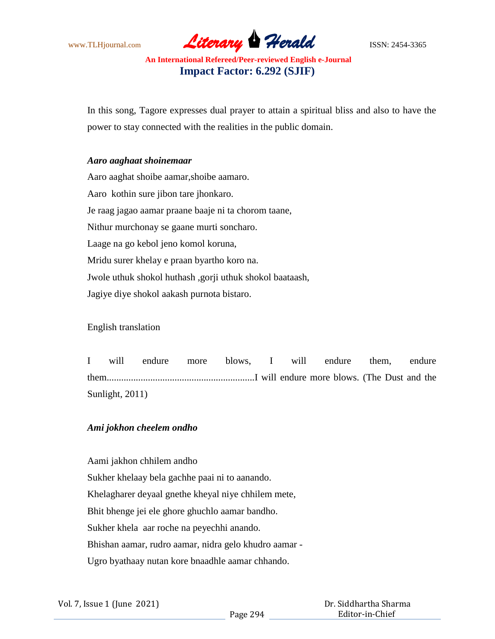www.TLHjournal.com **Literary Herald Herald** ISSN: 2454-3365

In this song, Tagore expresses dual prayer to attain a spiritual bliss and also to have the power to stay connected with the realities in the public domain.

#### *Aaro aaghaat shoinemaar*

Aaro aaghat shoibe aamar,shoibe aamaro. Aaro kothin sure jibon tare jhonkaro. Je raag jagao aamar praane baaje ni ta chorom taane, Nithur murchonay se gaane murti soncharo. Laage na go kebol jeno komol koruna, Mridu surer khelay e praan byartho koro na. Jwole uthuk shokol huthash ,gorji uthuk shokol baataash, Jagiye diye shokol aakash purnota bistaro.

English translation

I will endure more blows, I will endure them, endure them.............................................................I will endure more blows. (The Dust and the Sunlight, 2011)

### *Ami jokhon cheelem ondho*

Aami jakhon chhilem andho

Sukher khelaay bela gachhe paai ni to aanando. Khelagharer deyaal gnethe kheyal niye chhilem mete, Bhit bhenge jei ele ghore ghuchlo aamar bandho. Sukher khela aar roche na peyechhi anando. Bhishan aamar, rudro aamar, nidra gelo khudro aamar - Ugro byathaay nutan kore bnaadhle aamar chhando.

|  |  |  |  | Vol. 7, Issue 1 (June 2021) |
|--|--|--|--|-----------------------------|
|--|--|--|--|-----------------------------|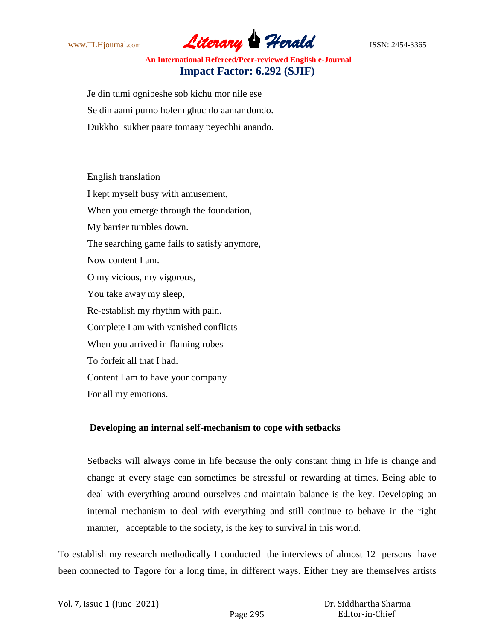www.TLHjournal.com *Literary Herald*ISSN: 2454-3365

Je din tumi ognibeshe sob kichu mor nile ese Se din aami purno holem ghuchlo aamar dondo. Dukkho sukher paare tomaay peyechhi anando.

English translation I kept myself busy with amusement, When you emerge through the foundation, My barrier tumbles down. The searching game fails to satisfy anymore, Now content I am. O my vicious, my vigorous, You take away my sleep, Re-establish my rhythm with pain. Complete I am with vanished conflicts When you arrived in flaming robes To forfeit all that I had. Content I am to have your company For all my emotions.

### **Developing an internal self-mechanism to cope with setbacks**

Setbacks will always come in life because the only constant thing in life is change and change at every stage can sometimes be stressful or rewarding at times. Being able to deal with everything around ourselves and maintain balance is the key. Developing an internal mechanism to deal with everything and still continue to behave in the right manner, acceptable to the society, is the key to survival in this world.

To establish my research methodically I conducted the interviews of almost 12 persons have been connected to Tagore for a long time, in different ways. Either they are themselves artists

| Vol. 7, Issue 1 (June 2021) |  |  |
|-----------------------------|--|--|
|-----------------------------|--|--|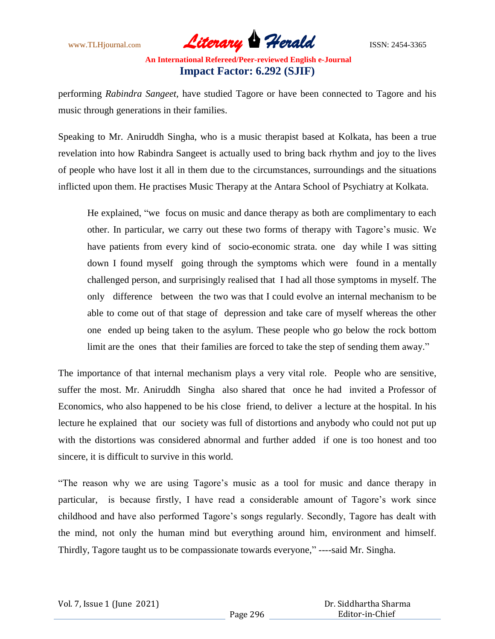www.TLHjournal.com *Literary Herald*ISSN: 2454-3365

performing *Rabindra Sangeet,* have studied Tagore or have been connected to Tagore and his music through generations in their families.

Speaking to Mr. Aniruddh Singha, who is a music therapist based at Kolkata, has been a true revelation into how Rabindra Sangeet is actually used to bring back rhythm and joy to the lives of people who have lost it all in them due to the circumstances, surroundings and the situations inflicted upon them. He practises Music Therapy at the Antara School of Psychiatry at Kolkata.

He explained, "we focus on music and dance therapy as both are complimentary to each other. In particular, we carry out these two forms of therapy with Tagore's music. We have patients from every kind of socio-economic strata. one day while I was sitting down I found myself going through the symptoms which were found in a mentally challenged person, and surprisingly realised that I had all those symptoms in myself. The only difference between the two was that I could evolve an internal mechanism to be able to come out of that stage of depression and take care of myself whereas the other one ended up being taken to the asylum. These people who go below the rock bottom limit are the ones that their families are forced to take the step of sending them away."

The importance of that internal mechanism plays a very vital role. People who are sensitive, suffer the most. Mr. Aniruddh Singha also shared that once he had invited a Professor of Economics, who also happened to be his close friend, to deliver a lecture at the hospital. In his lecture he explained that our society was full of distortions and anybody who could not put up with the distortions was considered abnormal and further added if one is too honest and too sincere, it is difficult to survive in this world.

―The reason why we are using Tagore's music as a tool for music and dance therapy in particular, is because firstly, I have read a considerable amount of Tagore's work since childhood and have also performed Tagore's songs regularly. Secondly, Tagore has dealt with the mind, not only the human mind but everything around him, environment and himself. Thirdly, Tagore taught us to be compassionate towards everyone," ----said Mr. Singha.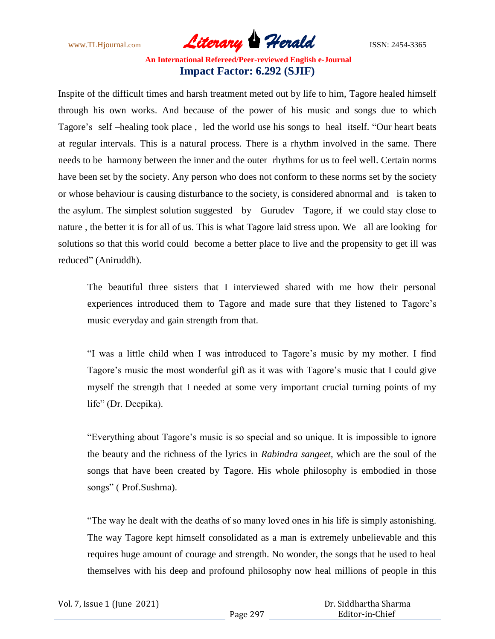www.TLHjournal.com **Literary Herald Herald** ISSN: 2454-3365

Inspite of the difficult times and harsh treatment meted out by life to him, Tagore healed himself through his own works. And because of the power of his music and songs due to which Tagore's self-healing took place, led the world use his songs to heal itself. "Our heart beats at regular intervals. This is a natural process. There is a rhythm involved in the same. There needs to be harmony between the inner and the outer rhythms for us to feel well. Certain norms have been set by the society. Any person who does not conform to these norms set by the society or whose behaviour is causing disturbance to the society, is considered abnormal and is taken to the asylum. The simplest solution suggested by Gurudev Tagore, if we could stay close to nature , the better it is for all of us. This is what Tagore laid stress upon. We all are looking for solutions so that this world could become a better place to live and the propensity to get ill was reduced" (Aniruddh).

The beautiful three sisters that I interviewed shared with me how their personal experiences introduced them to Tagore and made sure that they listened to Tagore's music everyday and gain strength from that.

―I was a little child when I was introduced to Tagore's music by my mother. I find Tagore's music the most wonderful gift as it was with Tagore's music that I could give myself the strength that I needed at some very important crucial turning points of my life" (Dr. Deepika).

―Everything about Tagore's music is so special and so unique. It is impossible to ignore the beauty and the richness of the lyrics in *Rabindra sangeet,* which are the soul of the songs that have been created by Tagore. His whole philosophy is embodied in those songs" (Prof.Sushma).

―The way he dealt with the deaths of so many loved ones in his life is simply astonishing. The way Tagore kept himself consolidated as a man is extremely unbelievable and this requires huge amount of courage and strength. No wonder, the songs that he used to heal themselves with his deep and profound philosophy now heal millions of people in this

|  |  |  |  | Vol. 7, Issue 1 (June 2021) |
|--|--|--|--|-----------------------------|
|--|--|--|--|-----------------------------|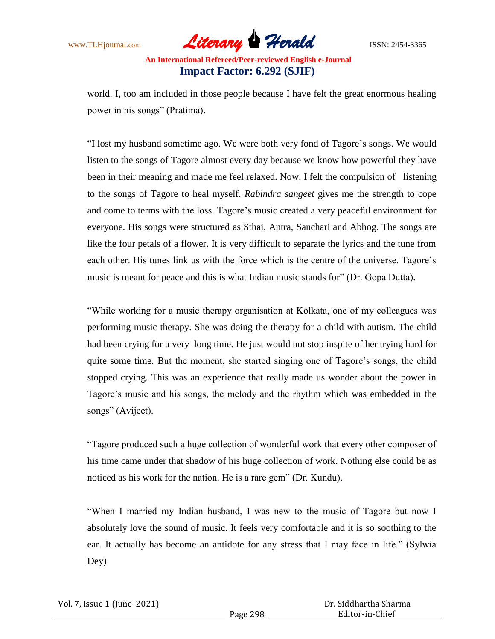www.TLHjournal.com *Literary Herald*ISSN: 2454-3365

world. I, too am included in those people because I have felt the great enormous healing power in his songs" (Pratima).

"I lost my husband sometime ago. We were both very fond of Tagore's songs. We would listen to the songs of Tagore almost every day because we know how powerful they have been in their meaning and made me feel relaxed. Now, I felt the compulsion of listening to the songs of Tagore to heal myself. *Rabindra sangeet* gives me the strength to cope and come to terms with the loss. Tagore's music created a very peaceful environment for everyone. His songs were structured as Sthai, Antra, Sanchari and Abhog. The songs are like the four petals of a flower. It is very difficult to separate the lyrics and the tune from each other. His tunes link us with the force which is the centre of the universe. Tagore's music is meant for peace and this is what Indian music stands for" (Dr. Gopa Dutta).

―While working for a music therapy organisation at Kolkata, one of my colleagues was performing music therapy. She was doing the therapy for a child with autism. The child had been crying for a very long time. He just would not stop inspite of her trying hard for quite some time. But the moment, she started singing one of Tagore's songs, the child stopped crying. This was an experience that really made us wonder about the power in Tagore's music and his songs, the melody and the rhythm which was embedded in the songs" (Avijeet).

―Tagore produced such a huge collection of wonderful work that every other composer of his time came under that shadow of his huge collection of work. Nothing else could be as noticed as his work for the nation. He is a rare gem" (Dr. Kundu).

―When I married my Indian husband, I was new to the music of Tagore but now I absolutely love the sound of music. It feels very comfortable and it is so soothing to the ear. It actually has become an antidote for any stress that I may face in life." (Sylwia Dey)

| Vol. 7, Issue 1 (June 2021) |  |  |
|-----------------------------|--|--|
|-----------------------------|--|--|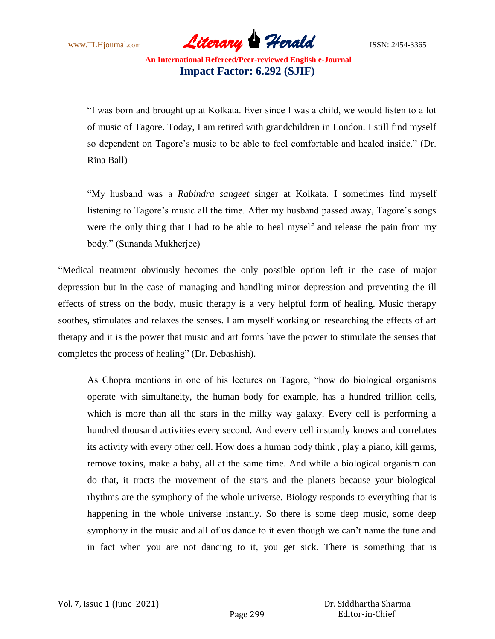www.TLHjournal.com *Literary Herald*ISSN: 2454-3365

―I was born and brought up at Kolkata. Ever since I was a child, we would listen to a lot of music of Tagore. Today, I am retired with grandchildren in London. I still find myself so dependent on Tagore's music to be able to feel comfortable and healed inside." (Dr. Rina Ball)

―My husband was a *Rabindra sangeet* singer at Kolkata. I sometimes find myself listening to Tagore's music all the time. After my husband passed away, Tagore's songs were the only thing that I had to be able to heal myself and release the pain from my body." (Sunanda Mukherjee)

"Medical treatment obviously becomes the only possible option left in the case of major depression but in the case of managing and handling minor depression and preventing the ill effects of stress on the body, music therapy is a very helpful form of healing. Music therapy soothes, stimulates and relaxes the senses. I am myself working on researching the effects of art therapy and it is the power that music and art forms have the power to stimulate the senses that completes the process of healing" (Dr. Debashish).

As Chopra mentions in one of his lectures on Tagore, "how do biological organisms operate with simultaneity, the human body for example, has a hundred trillion cells, which is more than all the stars in the milky way galaxy. Every cell is performing a hundred thousand activities every second. And every cell instantly knows and correlates its activity with every other cell. How does a human body think , play a piano, kill germs, remove toxins, make a baby, all at the same time. And while a biological organism can do that, it tracts the movement of the stars and the planets because your biological rhythms are the symphony of the whole universe. Biology responds to everything that is happening in the whole universe instantly. So there is some deep music, some deep symphony in the music and all of us dance to it even though we can't name the tune and in fact when you are not dancing to it, you get sick. There is something that is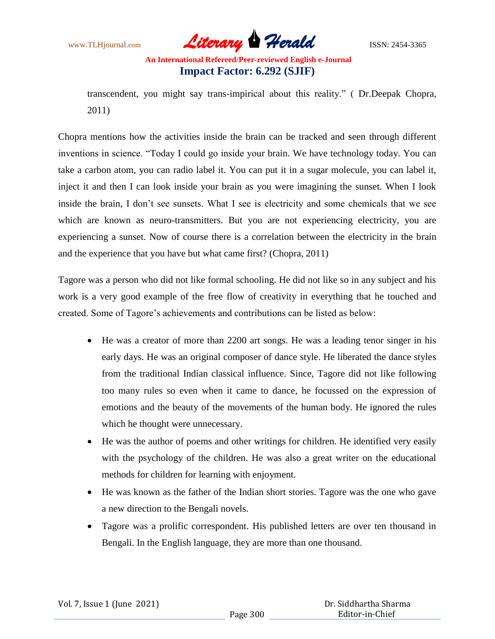www.TLHjournal.com *Literary Herald*ISSN: 2454-3365

transcendent, you might say trans-impirical about this reality." (Dr.Deepak Chopra, 2011)

Chopra mentions how the activities inside the brain can be tracked and seen through different inventions in science. "Today I could go inside your brain. We have technology today. You can take a carbon atom, you can radio label it. You can put it in a sugar molecule, you can label it, inject it and then I can look inside your brain as you were imagining the sunset. When I look inside the brain, I don't see sunsets. What I see is electricity and some chemicals that we see which are known as neuro-transmitters. But you are not experiencing electricity, you are experiencing a sunset. Now of course there is a correlation between the electricity in the brain and the experience that you have but what came first? (Chopra, 2011)

Tagore was a person who did not like formal schooling. He did not like so in any subject and his work is a very good example of the free flow of creativity in everything that he touched and created. Some of Tagore's achievements and contributions can be listed as below:

- He was a creator of more than 2200 art songs. He was a leading tenor singer in his early days. He was an original composer of dance style. He liberated the dance styles from the traditional Indian classical influence. Since, Tagore did not like following too many rules so even when it came to dance, he focussed on the expression of emotions and the beauty of the movements of the human body. He ignored the rules which he thought were unnecessary.
- He was the author of poems and other writings for children. He identified very easily with the psychology of the children. He was also a great writer on the educational methods for children for learning with enjoyment.
- He was known as the father of the Indian short stories. Tagore was the one who gave a new direction to the Bengali novels.
- Tagore was a prolific correspondent. His published letters are over ten thousand in Bengali. In the English language, they are more than one thousand.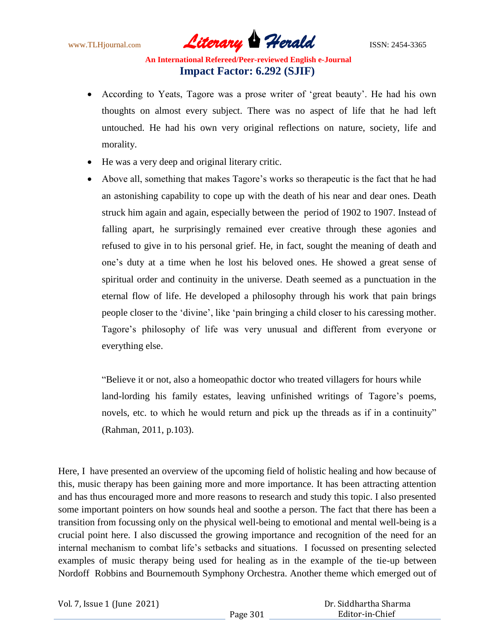www.TLHjournal.com *Literary Herald*ISSN: 2454-3365

- According to Yeats, Tagore was a prose writer of 'great beauty'. He had his own thoughts on almost every subject. There was no aspect of life that he had left untouched. He had his own very original reflections on nature, society, life and morality.
- He was a very deep and original literary critic.
- Above all, something that makes Tagore's works so therapeutic is the fact that he had an astonishing capability to cope up with the death of his near and dear ones. Death struck him again and again, especially between the period of 1902 to 1907. Instead of falling apart, he surprisingly remained ever creative through these agonies and refused to give in to his personal grief. He, in fact, sought the meaning of death and one's duty at a time when he lost his beloved ones. He showed a great sense of spiritual order and continuity in the universe. Death seemed as a punctuation in the eternal flow of life. He developed a philosophy through his work that pain brings people closer to the 'divine', like 'pain bringing a child closer to his caressing mother. Tagore's philosophy of life was very unusual and different from everyone or everything else.

"Believe it or not, also a homeopathic doctor who treated villagers for hours while land-lording his family estates, leaving unfinished writings of Tagore's poems, novels, etc. to which he would return and pick up the threads as if in a continuity" (Rahman, 2011, p.103).

Here, I have presented an overview of the upcoming field of holistic healing and how because of this, music therapy has been gaining more and more importance. It has been attracting attention and has thus encouraged more and more reasons to research and study this topic. I also presented some important pointers on how sounds heal and soothe a person. The fact that there has been a transition from focussing only on the physical well-being to emotional and mental well-being is a crucial point here. I also discussed the growing importance and recognition of the need for an internal mechanism to combat life's setbacks and situations. I focussed on presenting selected examples of music therapy being used for healing as in the example of the tie-up between Nordoff Robbins and Bournemouth Symphony Orchestra. Another theme which emerged out of

| Vol. 7, Issue 1 (June 2021) |  |  |
|-----------------------------|--|--|
|-----------------------------|--|--|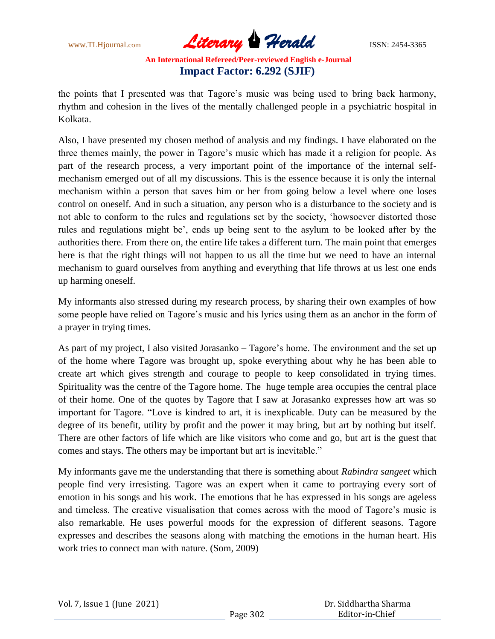www.TLHjournal.com *Literary Herald*ISSN: 2454-3365

the points that I presented was that Tagore's music was being used to bring back harmony, rhythm and cohesion in the lives of the mentally challenged people in a psychiatric hospital in Kolkata.

Also, I have presented my chosen method of analysis and my findings. I have elaborated on the three themes mainly, the power in Tagore's music which has made it a religion for people. As part of the research process, a very important point of the importance of the internal selfmechanism emerged out of all my discussions. This is the essence because it is only the internal mechanism within a person that saves him or her from going below a level where one loses control on oneself. And in such a situation, any person who is a disturbance to the society and is not able to conform to the rules and regulations set by the society, 'howsoever distorted those rules and regulations might be', ends up being sent to the asylum to be looked after by the authorities there. From there on, the entire life takes a different turn. The main point that emerges here is that the right things will not happen to us all the time but we need to have an internal mechanism to guard ourselves from anything and everything that life throws at us lest one ends up harming oneself.

My informants also stressed during my research process, by sharing their own examples of how some people have relied on Tagore's music and his lyrics using them as an anchor in the form of a prayer in trying times.

As part of my project, I also visited Jorasanko – Tagore's home. The environment and the set up of the home where Tagore was brought up, spoke everything about why he has been able to create art which gives strength and courage to people to keep consolidated in trying times. Spirituality was the centre of the Tagore home. The huge temple area occupies the central place of their home. One of the quotes by Tagore that I saw at Jorasanko expresses how art was so important for Tagore. "Love is kindred to art, it is inexplicable. Duty can be measured by the degree of its benefit, utility by profit and the power it may bring, but art by nothing but itself. There are other factors of life which are like visitors who come and go, but art is the guest that comes and stays. The others may be important but art is inevitable."

My informants gave me the understanding that there is something about *Rabindra sangeet* which people find very irresisting. Tagore was an expert when it came to portraying every sort of emotion in his songs and his work. The emotions that he has expressed in his songs are ageless and timeless. The creative visualisation that comes across with the mood of Tagore's music is also remarkable. He uses powerful moods for the expression of different seasons. Tagore expresses and describes the seasons along with matching the emotions in the human heart. His work tries to connect man with nature. (Som, 2009)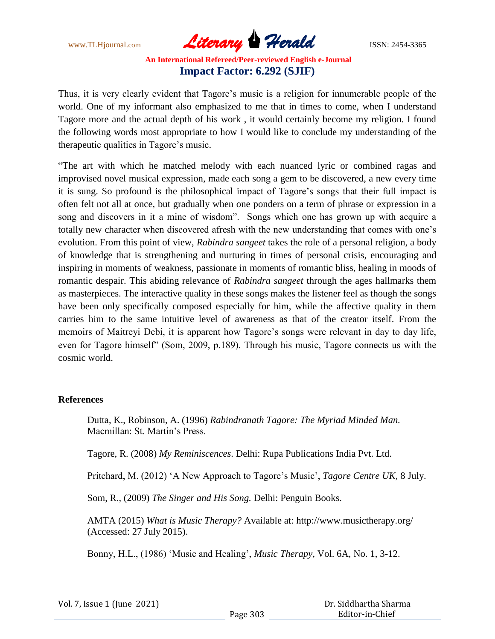www.TLHjournal.com *Literary Herald*ISSN: 2454-3365

Thus, it is very clearly evident that Tagore's music is a religion for innumerable people of the world. One of my informant also emphasized to me that in times to come, when I understand Tagore more and the actual depth of his work , it would certainly become my religion. I found the following words most appropriate to how I would like to conclude my understanding of the therapeutic qualities in Tagore's music.

―The art with which he matched melody with each nuanced lyric or combined ragas and improvised novel musical expression, made each song a gem to be discovered, a new every time it is sung. So profound is the philosophical impact of Tagore's songs that their full impact is often felt not all at once, but gradually when one ponders on a term of phrase or expression in a song and discovers in it a mine of wisdom". Songs which one has grown up with acquire a totally new character when discovered afresh with the new understanding that comes with one's evolution. From this point of view, *Rabindra sangeet* takes the role of a personal religion, a body of knowledge that is strengthening and nurturing in times of personal crisis, encouraging and inspiring in moments of weakness, passionate in moments of romantic bliss, healing in moods of romantic despair. This abiding relevance of *Rabindra sangeet* through the ages hallmarks them as masterpieces. The interactive quality in these songs makes the listener feel as though the songs have been only specifically composed especially for him, while the affective quality in them carries him to the same intuitive level of awareness as that of the creator itself. From the memoirs of Maitreyi Debi, it is apparent how Tagore's songs were relevant in day to day life, even for Tagore himself" (Som, 2009, p.189). Through his music, Tagore connects us with the cosmic world.

#### **References**

Dutta, K., Robinson, A. (1996) *Rabindranath Tagore: The Myriad Minded Man.* Macmillan: St. Martin's Press.

Tagore, R. (2008) *My Reminiscences*. Delhi: Rupa Publications India Pvt. Ltd.

Pritchard, M. (2012) ‗A New Approach to Tagore's Music', *Tagore Centre UK,* 8 July.

Som, R., (2009) *The Singer and His Song.* Delhi: Penguin Books.

AMTA (2015) *What is Music Therapy?* Available at: http://www.musictherapy.org/ (Accessed: 27 July 2015).

Bonny, H.L., (1986) ‗Music and Healing', *Music Therapy,* Vol. 6A, No. 1, 3-12.

|  |  |  |  | Vol. 7, Issue 1 (June 2021) |
|--|--|--|--|-----------------------------|
|--|--|--|--|-----------------------------|